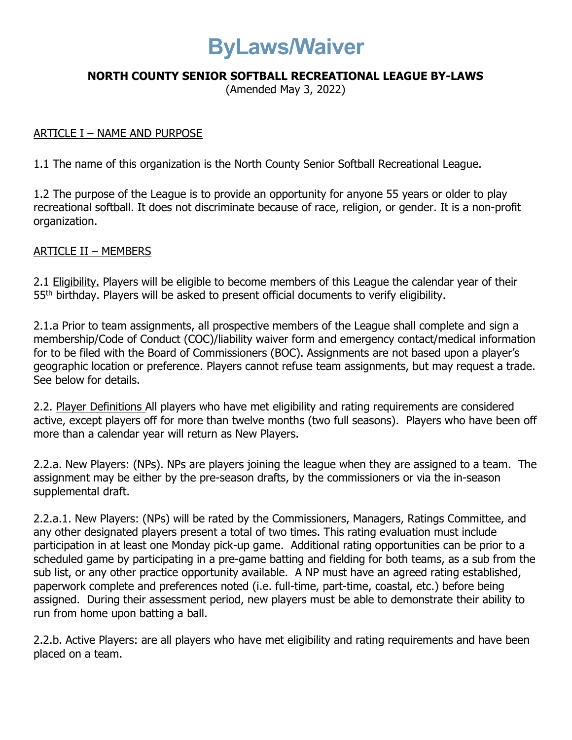# ByLaws/Waiver

## NORTH COUNTY SENIOR SOFTBALL RECREATIONAL LEAGUE BY-LAWS

(Amended May 3, 2022)

#### ARTICLE I – NAME AND PURPOSE

1.1 The name of this organization is the North County Senior Softball Recreational League.

1.2 The purpose of the League is to provide an opportunity for anyone 55 years or older to play recreational softball. It does not discriminate because of race, religion, or gender. It is a non-profit organization.

#### ARTICLE II – MEMBERS

2.1 Eligibility. Players will be eligible to become members of this League the calendar year of their 55<sup>th</sup> birthday. Players will be asked to present official documents to verify eligibility.

2.1.a Prior to team assignments, all prospective members of the League shall complete and sign a membership/Code of Conduct (COC)/liability waiver form and emergency contact/medical information for to be filed with the Board of Commissioners (BOC). Assignments are not based upon a player's geographic location or preference. Players cannot refuse team assignments, but may request a trade. See below for details.

2.2. Player Definitions All players who have met eligibility and rating requirements are considered active, except players off for more than twelve months (two full seasons). Players who have been off more than a calendar year will return as New Players.

2.2.a. New Players: (NPs). NPs are players joining the league when they are assigned to a team. The assignment may be either by the pre-season drafts, by the commissioners or via the in-season supplemental draft.

2.2.a.1. New Players: (NPs) will be rated by the Commissioners, Managers, Ratings Committee, and any other designated players present a total of two times. This rating evaluation must include participation in at least one Monday pick-up game. Additional rating opportunities can be prior to a scheduled game by participating in a pre-game batting and fielding for both teams, as a sub from the sub list, or any other practice opportunity available. A NP must have an agreed rating established, paperwork complete and preferences noted (i.e. full-time, part-time, coastal, etc.) before being assigned. During their assessment period, new players must be able to demonstrate their ability to run from home upon batting a ball.

2.2.b. Active Players: are all players who have met eligibility and rating requirements and have been placed on a team.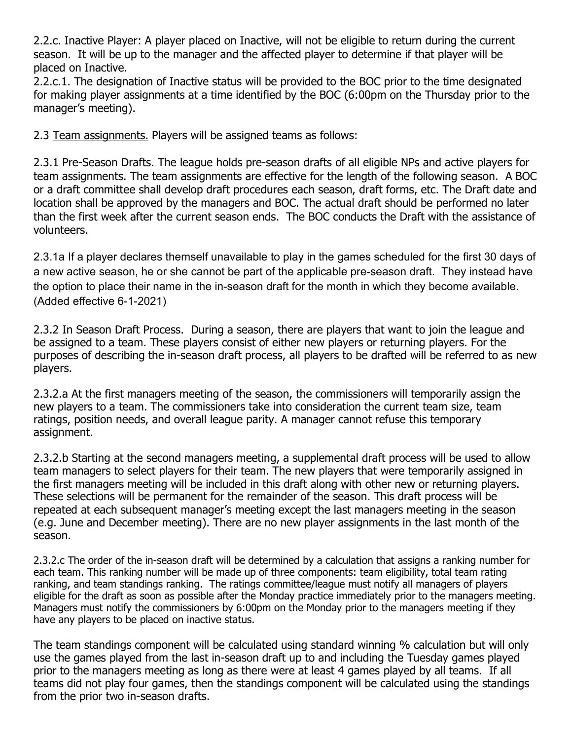2.2.c. Inactive Player: A player placed on Inactive, will not be eligible to return during the current season. It will be up to the manager and the affected player to determine if that player will be placed on Inactive.

2.2.c.1. The designation of Inactive status will be provided to the BOC prior to the time designated for making player assignments at a time identified by the BOC (6:00pm on the Thursday prior to the manager's meeting).

2.3 Team assignments. Players will be assigned teams as follows:

2.3.1 Pre-Season Drafts. The league holds pre-season drafts of all eligible NPs and active players for team assignments. The team assignments are effective for the length of the following season. A BOC or a draft committee shall develop draft procedures each season, draft forms, etc. The Draft date and location shall be approved by the managers and BOC. The actual draft should be performed no later than the first week after the current season ends. The BOC conducts the Draft with the assistance of volunteers.

2.3.1a If a player declares themself unavailable to play in the games scheduled for the first 30 days of a new active season, he or she cannot be part of the applicable pre-season draft. They instead have the option to place their name in the in-season draft for the month in which they become available. (Added effective 6-1-2021)

2.3.2 In Season Draft Process. During a season, there are players that want to join the league and be assigned to a team. These players consist of either new players or returning players. For the purposes of describing the in-season draft process, all players to be drafted will be referred to as new players.

2.3.2.a At the first managers meeting of the season, the commissioners will temporarily assign the new players to a team. The commissioners take into consideration the current team size, team ratings, position needs, and overall league parity. A manager cannot refuse this temporary assignment.

2.3.2.b Starting at the second managers meeting, a supplemental draft process will be used to allow team managers to select players for their team. The new players that were temporarily assigned in the first managers meeting will be included in this draft along with other new or returning players. These selections will be permanent for the remainder of the season. This draft process will be repeated at each subsequent manager's meeting except the last managers meeting in the season (e.g. June and December meeting). There are no new player assignments in the last month of the season.

2.3.2.c The order of the in-season draft will be determined by a calculation that assigns a ranking number for each team. This ranking number will be made up of three components: team eligibility, total team rating ranking, and team standings ranking. The ratings committee/league must notify all managers of players eligible for the draft as soon as possible after the Monday practice immediately prior to the managers meeting. Managers must notify the commissioners by 6:00pm on the Monday prior to the managers meeting if they have any players to be placed on inactive status.

The team standings component will be calculated using standard winning % calculation but will only use the games played from the last in-season draft up to and including the Tuesday games played prior to the managers meeting as long as there were at least 4 games played by all teams. If all teams did not play four games, then the standings component will be calculated using the standings from the prior two in-season drafts.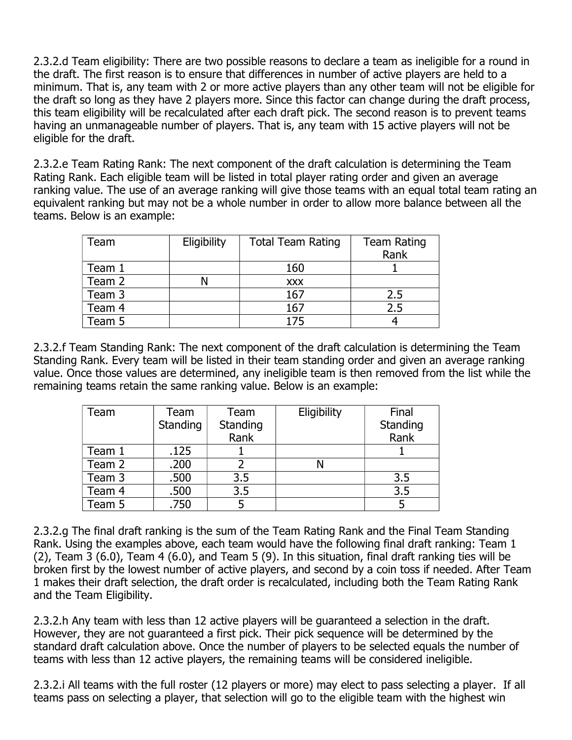2.3.2.d Team eligibility: There are two possible reasons to declare a team as ineligible for a round in the draft. The first reason is to ensure that differences in number of active players are held to a minimum. That is, any team with 2 or more active players than any other team will not be eligible for the draft so long as they have 2 players more. Since this factor can change during the draft process, this team eligibility will be recalculated after each draft pick. The second reason is to prevent teams having an unmanageable number of players. That is, any team with 15 active players will not be eligible for the draft.

2.3.2.e Team Rating Rank: The next component of the draft calculation is determining the Team Rating Rank. Each eligible team will be listed in total player rating order and given an average ranking value. The use of an average ranking will give those teams with an equal total team rating an equivalent ranking but may not be a whole number in order to allow more balance between all the teams. Below is an example:

| Геаm   | Eligibility | <b>Total Team Rating</b> | <b>Team Rating</b><br>Rank |
|--------|-------------|--------------------------|----------------------------|
| Team 1 |             | 160                      |                            |
| Team 2 |             | <b>XXX</b>               |                            |
| Team 3 |             | 167                      | 2.5                        |
| Team 4 |             | 167                      | 2.5                        |
| Team 5 |             | 175                      |                            |

2.3.2.f Team Standing Rank: The next component of the draft calculation is determining the Team Standing Rank. Every team will be listed in their team standing order and given an average ranking value. Once those values are determined, any ineligible team is then removed from the list while the remaining teams retain the same ranking value. Below is an example:

| Team   | Team     | Team     | Eligibility | Final    |
|--------|----------|----------|-------------|----------|
|        | Standing | Standing |             | Standing |
|        |          | Rank     |             | Rank     |
| Team 1 | .125     |          |             |          |
| Team 2 | .200     |          |             |          |
| Team 3 | .500     | 3.5      |             | 3.5      |
| Team 4 | .500     | 3.5      |             | 3.5      |
| Team 5 | .750     |          |             |          |

2.3.2.g The final draft ranking is the sum of the Team Rating Rank and the Final Team Standing Rank. Using the examples above, each team would have the following final draft ranking: Team 1 (2), Team 3 (6.0), Team 4 (6.0), and Team 5 (9). In this situation, final draft ranking ties will be broken first by the lowest number of active players, and second by a coin toss if needed. After Team 1 makes their draft selection, the draft order is recalculated, including both the Team Rating Rank and the Team Eligibility.

2.3.2.h Any team with less than 12 active players will be guaranteed a selection in the draft. However, they are not guaranteed a first pick. Their pick sequence will be determined by the standard draft calculation above. Once the number of players to be selected equals the number of teams with less than 12 active players, the remaining teams will be considered ineligible.

2.3.2.i All teams with the full roster (12 players or more) may elect to pass selecting a player. If all teams pass on selecting a player, that selection will go to the eligible team with the highest win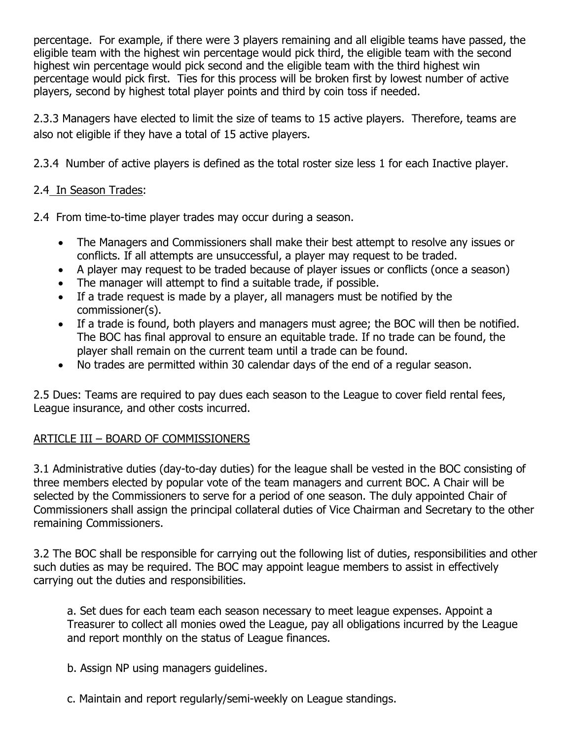percentage. For example, if there were 3 players remaining and all eligible teams have passed, the eligible team with the highest win percentage would pick third, the eligible team with the second highest win percentage would pick second and the eligible team with the third highest win percentage would pick first. Ties for this process will be broken first by lowest number of active players, second by highest total player points and third by coin toss if needed.

2.3.3 Managers have elected to limit the size of teams to 15 active players. Therefore, teams are also not eligible if they have a total of 15 active players.

2.3.4 Number of active players is defined as the total roster size less 1 for each Inactive player.

# 2.4 In Season Trades:

2.4 From time-to-time player trades may occur during a season.

- The Managers and Commissioners shall make their best attempt to resolve any issues or conflicts. If all attempts are unsuccessful, a player may request to be traded.
- A player may request to be traded because of player issues or conflicts (once a season)
- The manager will attempt to find a suitable trade, if possible.
- If a trade request is made by a player, all managers must be notified by the commissioner(s).
- If a trade is found, both players and managers must agree; the BOC will then be notified. The BOC has final approval to ensure an equitable trade. If no trade can be found, the player shall remain on the current team until a trade can be found.
- No trades are permitted within 30 calendar days of the end of a regular season.

2.5 Dues: Teams are required to pay dues each season to the League to cover field rental fees, League insurance, and other costs incurred.

# ARTICLE III – BOARD OF COMMISSIONERS

3.1 Administrative duties (day-to-day duties) for the league shall be vested in the BOC consisting of three members elected by popular vote of the team managers and current BOC. A Chair will be selected by the Commissioners to serve for a period of one season. The duly appointed Chair of Commissioners shall assign the principal collateral duties of Vice Chairman and Secretary to the other remaining Commissioners.

3.2 The BOC shall be responsible for carrying out the following list of duties, responsibilities and other such duties as may be required. The BOC may appoint league members to assist in effectively carrying out the duties and responsibilities.

a. Set dues for each team each season necessary to meet league expenses. Appoint a Treasurer to collect all monies owed the League, pay all obligations incurred by the League and report monthly on the status of League finances.

b. Assign NP using managers guidelines.

c. Maintain and report regularly/semi-weekly on League standings.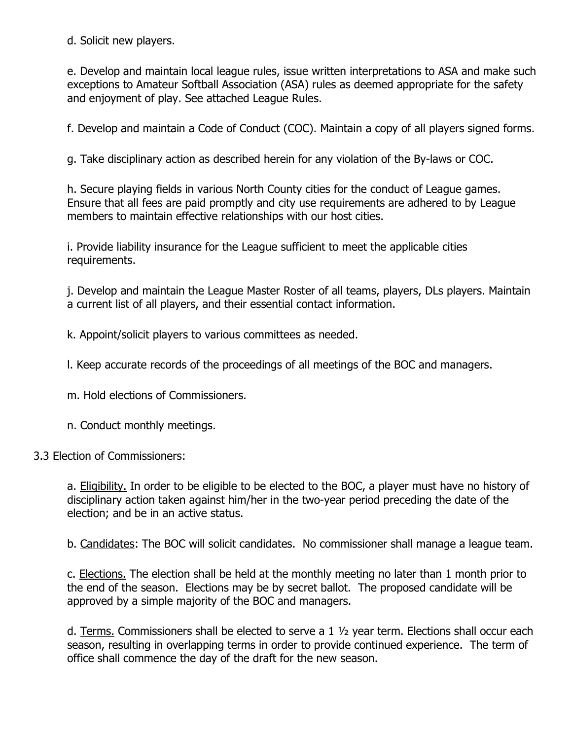d. Solicit new players.

e. Develop and maintain local league rules, issue written interpretations to ASA and make such exceptions to Amateur Softball Association (ASA) rules as deemed appropriate for the safety and enjoyment of play. See attached League Rules.

f. Develop and maintain a Code of Conduct (COC). Maintain a copy of all players signed forms.

g. Take disciplinary action as described herein for any violation of the By-laws or COC.

h. Secure playing fields in various North County cities for the conduct of League games. Ensure that all fees are paid promptly and city use requirements are adhered to by League members to maintain effective relationships with our host cities.

i. Provide liability insurance for the League sufficient to meet the applicable cities requirements.

j. Develop and maintain the League Master Roster of all teams, players, DLs players. Maintain a current list of all players, and their essential contact information.

k. Appoint/solicit players to various committees as needed.

l. Keep accurate records of the proceedings of all meetings of the BOC and managers.

m. Hold elections of Commissioners.

n. Conduct monthly meetings.

#### 3.3 Election of Commissioners:

a. **Eligibility**. In order to be eligible to be elected to the BOC, a player must have no history of disciplinary action taken against him/her in the two-year period preceding the date of the election; and be in an active status.

b. Candidates: The BOC will solicit candidates. No commissioner shall manage a league team.

c. Elections. The election shall be held at the monthly meeting no later than 1 month prior to the end of the season. Elections may be by secret ballot. The proposed candidate will be approved by a simple majority of the BOC and managers.

d. Terms. Commissioners shall be elected to serve a  $1\frac{1}{2}$  year term. Elections shall occur each season, resulting in overlapping terms in order to provide continued experience. The term of office shall commence the day of the draft for the new season.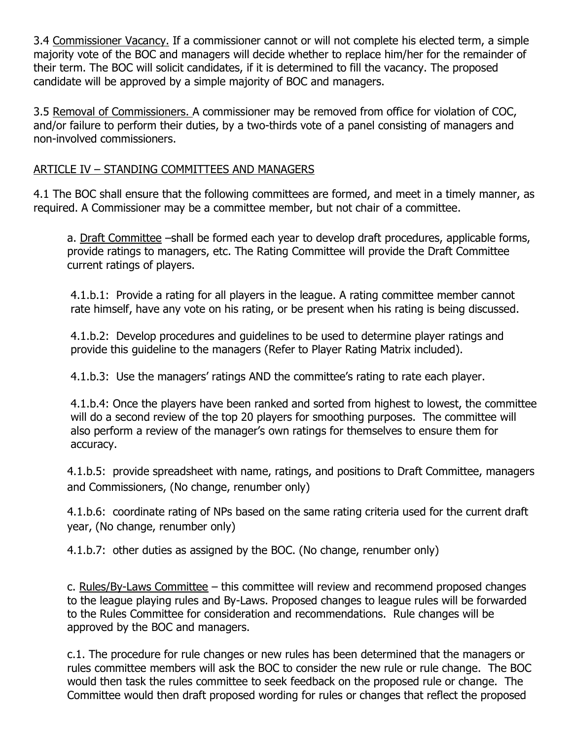3.4 Commissioner Vacancy. If a commissioner cannot or will not complete his elected term, a simple majority vote of the BOC and managers will decide whether to replace him/her for the remainder of their term. The BOC will solicit candidates, if it is determined to fill the vacancy. The proposed candidate will be approved by a simple majority of BOC and managers.

3.5 Removal of Commissioners. A commissioner may be removed from office for violation of COC, and/or failure to perform their duties, by a two-thirds vote of a panel consisting of managers and non-involved commissioners.

## ARTICLE IV – STANDING COMMITTEES AND MANAGERS

4.1 The BOC shall ensure that the following committees are formed, and meet in a timely manner, as required. A Commissioner may be a committee member, but not chair of a committee.

a. Draft Committee –shall be formed each year to develop draft procedures, applicable forms, provide ratings to managers, etc. The Rating Committee will provide the Draft Committee current ratings of players.

4.1.b.1: Provide a rating for all players in the league. A rating committee member cannot rate himself, have any vote on his rating, or be present when his rating is being discussed.

4.1.b.2: Develop procedures and guidelines to be used to determine player ratings and provide this guideline to the managers (Refer to Player Rating Matrix included).

4.1.b.3: Use the managers' ratings AND the committee's rating to rate each player.

4.1.b.4: Once the players have been ranked and sorted from highest to lowest, the committee will do a second review of the top 20 players for smoothing purposes. The committee will also perform a review of the manager's own ratings for themselves to ensure them for accuracy.

4.1.b.5: provide spreadsheet with name, ratings, and positions to Draft Committee, managers and Commissioners, (No change, renumber only)

4.1.b.6: coordinate rating of NPs based on the same rating criteria used for the current draft year, (No change, renumber only)

4.1.b.7: other duties as assigned by the BOC. (No change, renumber only)

c. Rules/By-Laws Committee – this committee will review and recommend proposed changes to the league playing rules and By-Laws. Proposed changes to league rules will be forwarded to the Rules Committee for consideration and recommendations. Rule changes will be approved by the BOC and managers.

c.1. The procedure for rule changes or new rules has been determined that the managers or rules committee members will ask the BOC to consider the new rule or rule change. The BOC would then task the rules committee to seek feedback on the proposed rule or change. The Committee would then draft proposed wording for rules or changes that reflect the proposed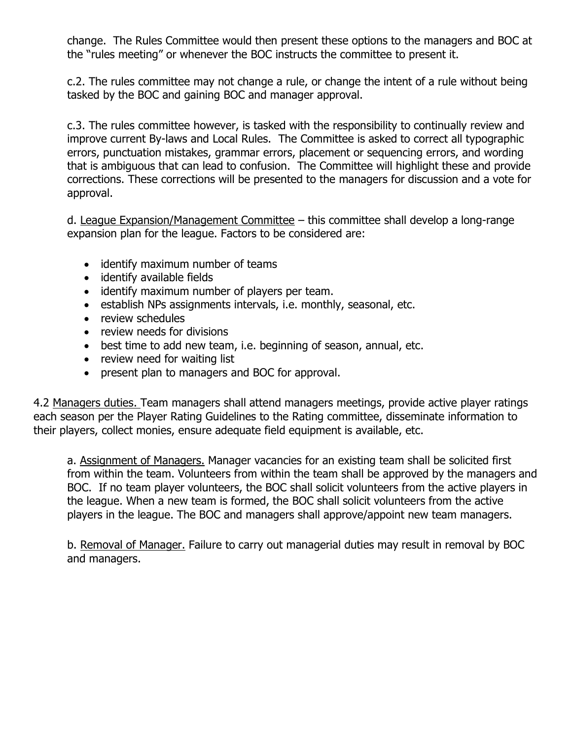change. The Rules Committee would then present these options to the managers and BOC at the "rules meeting" or whenever the BOC instructs the committee to present it.

c.2. The rules committee may not change a rule, or change the intent of a rule without being tasked by the BOC and gaining BOC and manager approval.

c.3. The rules committee however, is tasked with the responsibility to continually review and improve current By-laws and Local Rules. The Committee is asked to correct all typographic errors, punctuation mistakes, grammar errors, placement or sequencing errors, and wording that is ambiguous that can lead to confusion. The Committee will highlight these and provide corrections. These corrections will be presented to the managers for discussion and a vote for approval.

d. League Expansion/Management Committee – this committee shall develop a long-range expansion plan for the league. Factors to be considered are:

- identify maximum number of teams
- identify available fields
- identify maximum number of players per team.
- establish NPs assignments intervals, i.e. monthly, seasonal, etc.
- review schedules
- review needs for divisions
- best time to add new team, i.e. beginning of season, annual, etc.
- review need for waiting list
- present plan to managers and BOC for approval.

4.2 Managers duties. Team managers shall attend managers meetings, provide active player ratings each season per the Player Rating Guidelines to the Rating committee, disseminate information to their players, collect monies, ensure adequate field equipment is available, etc.

a. Assignment of Managers. Manager vacancies for an existing team shall be solicited first from within the team. Volunteers from within the team shall be approved by the managers and BOC. If no team player volunteers, the BOC shall solicit volunteers from the active players in the league. When a new team is formed, the BOC shall solicit volunteers from the active players in the league. The BOC and managers shall approve/appoint new team managers.

b. Removal of Manager. Failure to carry out managerial duties may result in removal by BOC and managers.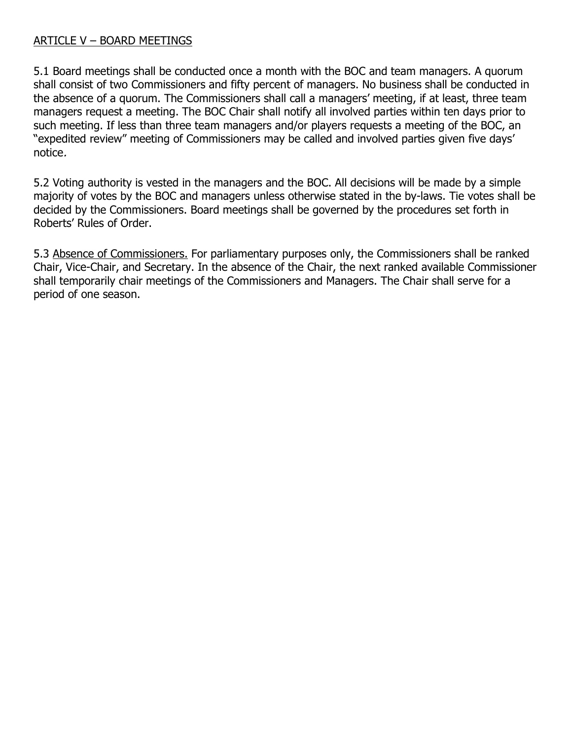#### ARTICLE V – BOARD MEETINGS

5.1 Board meetings shall be conducted once a month with the BOC and team managers. A quorum shall consist of two Commissioners and fifty percent of managers. No business shall be conducted in the absence of a quorum. The Commissioners shall call a managers' meeting, if at least, three team managers request a meeting. The BOC Chair shall notify all involved parties within ten days prior to such meeting. If less than three team managers and/or players requests a meeting of the BOC, an "expedited review" meeting of Commissioners may be called and involved parties given five days' notice.

5.2 Voting authority is vested in the managers and the BOC. All decisions will be made by a simple majority of votes by the BOC and managers unless otherwise stated in the by-laws. Tie votes shall be decided by the Commissioners. Board meetings shall be governed by the procedures set forth in Roberts' Rules of Order.

5.3 Absence of Commissioners. For parliamentary purposes only, the Commissioners shall be ranked Chair, Vice-Chair, and Secretary. In the absence of the Chair, the next ranked available Commissioner shall temporarily chair meetings of the Commissioners and Managers. The Chair shall serve for a period of one season.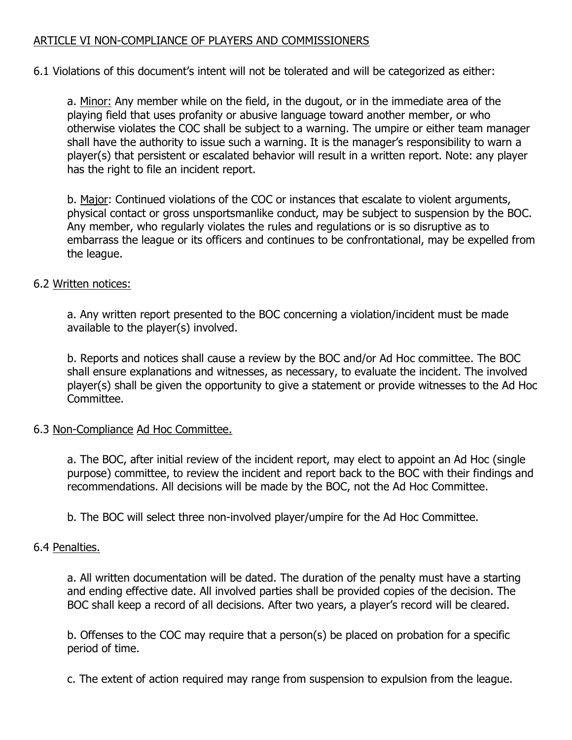## ARTICLE VI NON-COMPLIANCE OF PLAYERS AND COMMISSIONERS

6.1 Violations of this document's intent will not be tolerated and will be categorized as either:

a. Minor: Any member while on the field, in the dugout, or in the immediate area of the playing field that uses profanity or abusive language toward another member, or who otherwise violates the COC shall be subject to a warning. The umpire or either team manager shall have the authority to issue such a warning. It is the manager's responsibility to warn a player(s) that persistent or escalated behavior will result in a written report. Note: any player has the right to file an incident report.

b. Major: Continued violations of the COC or instances that escalate to violent arguments, physical contact or gross unsportsmanlike conduct, may be subject to suspension by the BOC. Any member, who regularly violates the rules and regulations or is so disruptive as to embarrass the league or its officers and continues to be confrontational, may be expelled from the league.

#### 6.2 Written notices:

a. Any written report presented to the BOC concerning a violation/incident must be made available to the player(s) involved.

b. Reports and notices shall cause a review by the BOC and/or Ad Hoc committee. The BOC shall ensure explanations and witnesses, as necessary, to evaluate the incident. The involved player(s) shall be given the opportunity to give a statement or provide witnesses to the Ad Hoc Committee.

#### 6.3 Non-Compliance Ad Hoc Committee.

a. The BOC, after initial review of the incident report, may elect to appoint an Ad Hoc (single purpose) committee, to review the incident and report back to the BOC with their findings and recommendations. All decisions will be made by the BOC, not the Ad Hoc Committee.

b. The BOC will select three non-involved player/umpire for the Ad Hoc Committee.

## 6.4 Penalties.

a. All written documentation will be dated. The duration of the penalty must have a starting and ending effective date. All involved parties shall be provided copies of the decision. The BOC shall keep a record of all decisions. After two years, a player's record will be cleared.

b. Offenses to the COC may require that a person(s) be placed on probation for a specific period of time.

c. The extent of action required may range from suspension to expulsion from the league.